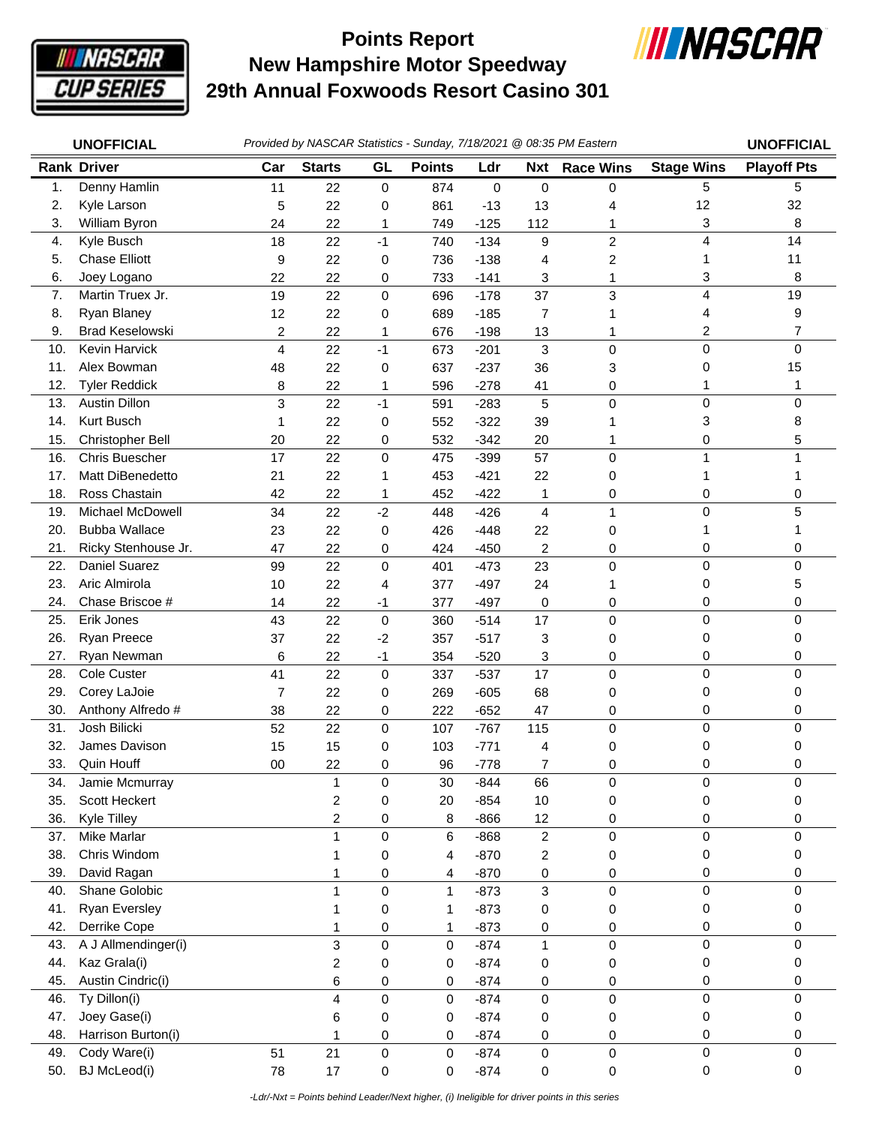

## **New Hampshire Motor Speedway 29th Annual Foxwoods Resort Casino 301 Points Report**



| <b>UNOFFICIAL</b> |                                   | Provided by NASCAR Statistics - Sunday, 7/18/2021 @ 08:35 PM Eastern |                         |                |               |                  |                              |                  |                   | <b>UNOFFICIAL</b>  |
|-------------------|-----------------------------------|----------------------------------------------------------------------|-------------------------|----------------|---------------|------------------|------------------------------|------------------|-------------------|--------------------|
|                   | <b>Rank Driver</b>                | Car                                                                  | <b>Starts</b>           | GL             | <b>Points</b> | Ldr              | Nxt                          | <b>Race Wins</b> | <b>Stage Wins</b> | <b>Playoff Pts</b> |
| 1.                | Denny Hamlin                      | 11                                                                   | 22                      | 0              | 874           | 0                | 0                            | 0                | 5                 | 5                  |
| 2.                | Kyle Larson                       | 5                                                                    | 22                      | 0              | 861           | $-13$            | 13                           | 4                | 12                | 32                 |
| 3.                | William Byron                     | 24                                                                   | 22                      | 1              | 749           | $-125$           | 112                          | 1                | 3                 | 8                  |
| 4.                | Kyle Busch                        | 18                                                                   | 22                      | $-1$           | 740           | $-134$           | 9                            | $\overline{c}$   | 4                 | 14                 |
| 5.                | <b>Chase Elliott</b>              | 9                                                                    | 22                      | 0              | 736           | $-138$           | 4                            | $\overline{c}$   | 1                 | 11                 |
| 6.                | Joey Logano                       | 22                                                                   | 22                      | 0              | 733           | $-141$           | 3                            | 1                | 3                 | 8                  |
| 7.                | Martin Truex Jr.                  | 19                                                                   | 22                      | 0              | 696           | $-178$           | 37                           | 3                | 4                 | 19                 |
| 8.                | Ryan Blaney                       | 12                                                                   | 22                      | 0              | 689           | $-185$           | 7                            | 1                | 4                 | 9                  |
| 9.                | <b>Brad Keselowski</b>            | 2                                                                    | 22                      | 1              | 676           | $-198$           | 13                           | 1                | 2                 | 7                  |
| 10.               | Kevin Harvick                     | 4                                                                    | 22                      | $-1$           | 673           | $-201$           | 3                            | 0                | 0                 | $\Omega$           |
| 11.               | Alex Bowman                       | 48                                                                   | 22                      | 0              | 637           | $-237$           | 36                           | 3                | 0                 | 15                 |
| 12.               | <b>Tyler Reddick</b>              | 8                                                                    | 22                      | 1              | 596           | $-278$           | 41                           | 0                | 1                 | 1                  |
| 13.               | <b>Austin Dillon</b>              | 3                                                                    | 22                      | $-1$           | 591           | $-283$           | 5                            | 0                | $\mathbf 0$       | 0                  |
| 14.               | Kurt Busch                        | 1                                                                    | 22                      | 0              | 552           | $-322$           | 39                           |                  | 3                 | 8                  |
| 15.               | Christopher Bell                  | 20                                                                   | 22                      | 0              | 532           | $-342$           | 20                           | 1                | 0                 | 5                  |
| 16.               | <b>Chris Buescher</b>             | 17                                                                   | 22                      | $\pmb{0}$      | 475           | $-399$           | 57                           | $\mathbf 0$      | 1                 |                    |
| 17.               | Matt DiBenedetto                  | 21                                                                   | 22                      | 1              | 453           | $-421$           | 22                           | 0                | 1                 |                    |
| 18.               | Ross Chastain                     | 42                                                                   | 22                      | 1              | 452           | $-422$           | 1                            | 0                | 0                 | 0                  |
| 19.               | Michael McDowell                  | 34                                                                   | 22                      | $-2$           | 448           | $-426$           | $\overline{\mathbf{4}}$      | $\mathbf{1}$     | $\mathbf 0$       | 5                  |
| 20.               | <b>Bubba Wallace</b>              | 23                                                                   | 22                      | $\pmb{0}$      | 426           | $-448$           | 22                           | 0                | 1                 |                    |
| 21.               | Ricky Stenhouse Jr.               | 47                                                                   | 22                      | 0              | 424           | $-450$           | $\overline{c}$               | 0                | 0                 | 0                  |
| 22.               | Daniel Suarez                     | 99                                                                   | 22                      | $\pmb{0}$      | 401           | $-473$           | 23                           | 0                | 0                 | 0                  |
| 23.               | Aric Almirola                     | 10                                                                   | 22                      | 4              | 377           | $-497$           | 24                           | 1                | 0                 | 5                  |
| 24.               | Chase Briscoe #                   | 14                                                                   | 22                      | $-1$           | 377           | $-497$           | 0                            | 0                | 0                 | 0                  |
| 25.               | Erik Jones                        | 43                                                                   | 22                      | $\pmb{0}$      | 360           | $-514$           | 17                           | 0                | 0                 | 0                  |
| 26.               | Ryan Preece                       | 37                                                                   | 22                      | $-2$           | 357           | $-517$           | 3                            | 0                | 0                 | 0                  |
| 27.               | Ryan Newman                       | 6                                                                    | 22                      | $-1$           | 354           | $-520$           | 3                            | 0                | 0                 | 0                  |
| 28.               | Cole Custer                       | 41                                                                   | 22                      | $\mathbf 0$    | 337           | $-537$           | 17                           | 0                | $\mathbf 0$       | 0                  |
| 29.               | Corey LaJoie                      | $\overline{7}$                                                       | 22                      | 0              | 269           | $-605$           | 68                           | 0                | 0                 | 0                  |
| 30.               | Anthony Alfredo #                 | 38                                                                   | 22                      | 0              | 222           | $-652$           | 47                           | 0                | 0                 | 0                  |
| 31.               | Josh Bilicki                      | 52                                                                   | 22                      | 0              | 107           | $-767$           | 115                          | 0                | 0                 | 0                  |
| 32.               | James Davison                     | 15                                                                   | 15                      | 0              | 103           | $-771$           | $\overline{4}$               | 0                | 0                 | 0                  |
| 33.               | Quin Houff                        | 00                                                                   | 22                      | $\Omega$       | 96            | $-778$           | 7                            | 0                | 0                 | 0                  |
| 34.               | Jamie Mcmurray                    |                                                                      | 1                       | 0              | 30            | $-844$           | 66                           | 0                | 0                 | 0                  |
| 35.               | Scott Heckert                     |                                                                      | $\overline{\mathbf{c}}$ | 0              | 20            | $-854$           | 10                           | 0                | 0                 | 0                  |
| 36.               | Kyle Tilley<br><b>Mike Marlar</b> |                                                                      | $\overline{\mathbf{c}}$ | 0              | 8             | $-866$           | 12                           | 0                | 0                 | 0                  |
| 37.<br>38.        | Chris Windom                      |                                                                      | 1                       | 0              | 6             | $-868$           | $\overline{c}$               | 0                | 0<br>$\pmb{0}$    | 0<br>0             |
| 39.               | David Ragan                       |                                                                      | 1<br>1                  | $\pmb{0}$<br>0 | 4<br>4        | $-870$<br>$-870$ | $\overline{\mathbf{c}}$<br>0 | 0<br>0           | 0                 | 0                  |
| 40.               | Shane Golobic                     |                                                                      | 1                       | 0              | $\mathbf{1}$  | $-873$           | $\mathbf{3}$                 | $\pmb{0}$        | $\mathsf 0$       | 0                  |
| 41.               | <b>Ryan Eversley</b>              |                                                                      | 1                       | 0              | 1             | $-873$           | 0                            | 0                | 0                 | 0                  |
| 42.               | Derrike Cope                      |                                                                      | 1                       | 0              | 1             | $-873$           | 0                            | 0                | 0                 | 0                  |
| 43.               | A J Allmendinger(i)               |                                                                      | 3                       | $\mathbf 0$    | 0             | $-874$           | $\mathbf{1}$                 | $\mathsf 0$      | $\mathsf 0$       | 0                  |
| 44.               | Kaz Grala(i)                      |                                                                      | $\overline{c}$          | 0              | 0             | $-874$           | 0                            | 0                | 0                 | 0                  |
| 45.               | Austin Cindric(i)                 |                                                                      | 6                       | $\pmb{0}$      | 0             | $-874$           | 0                            | 0                | 0                 | 0                  |
| 46.               | Ty Dillon(i)                      |                                                                      | $\overline{\mathbf{4}}$ | $\mathbf 0$    | 0             | $-874$           | $\mathbf 0$                  | 0                | 0                 | 0                  |
| 47.               | Joey Gase(i)                      |                                                                      | 6                       | $\pmb{0}$      | 0             | $-874$           | 0                            | 0                | 0                 | 0                  |
| 48.               | Harrison Burton(i)                |                                                                      | 1                       | $\pmb{0}$      | 0             | $-874$           | 0                            | 0                | 0                 | 0                  |
| 49.               | Cody Ware(i)                      | 51                                                                   | 21                      | 0              | 0             | $-874$           | $\mathsf{O}\xspace$          | $\pmb{0}$        | $\mathbf 0$       | 0                  |
| 50.               | <b>BJ</b> McLeod(i)               | 78                                                                   | $17$                    | $\mathsf 0$    | 0             | $-874$           | 0                            | $\pmb{0}$        | 0                 | 0                  |